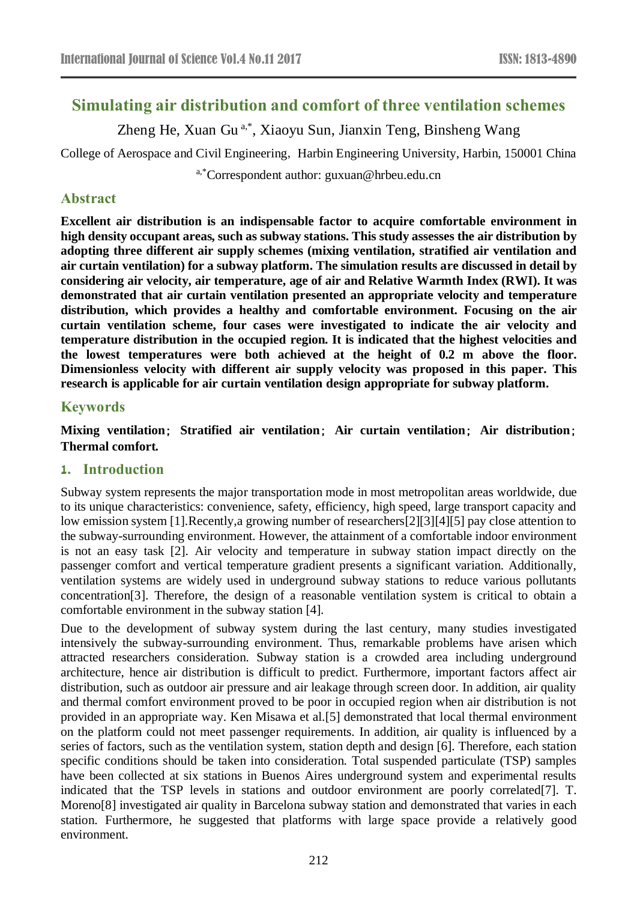# **Simulating air distribution and comfort of three ventilation schemes**

Zheng He, Xuan Gu<sup>a,\*</sup>, Xiaoyu Sun, Jianxin Teng, Binsheng Wang

College of Aerospace and Civil Engineering, Harbin Engineering University, Harbin, 150001 China

a,\*Correspondent author: [guxuan@h](mailto:b656877896@qq.com,)rbeu.edu.cn

# **Abstract**

**Excellent air distribution is an indispensable factor to acquire comfortable environment in high density occupant areas, such as subway stations. This study assesses the air distribution by adopting three different air supply schemes (mixing ventilation, stratified air ventilation and air curtain ventilation) for a subway platform. The simulation results are discussed in detail by considering air velocity, air temperature, age of air and Relative Warmth Index (RWI). It was demonstrated that air curtain ventilation presented an appropriate velocity and temperature distribution, which provides a healthy and comfortable environment. Focusing on the air curtain ventilation scheme, four cases were investigated to indicate the air velocity and temperature distribution in the occupied region. It is indicated that the highest velocities and the lowest temperatures were both achieved at the height of 0.2 m above the floor. Dimensionless velocity with different air supply velocity was proposed in this paper. This research is applicable for air curtain ventilation design appropriate for subway platform.**

# **Keywords**

**Mixing ventilation**; **Stratified air ventilation**; **Air curtain ventilation**; **Air distribution**; **Thermal comfort.**

### **1. Introduction**

Subway system represents the major transportation mode in most metropolitan areas worldwide, due to its unique characteristics: convenience, safety, efficiency, high speed, large transport capacity and low emission system [\[1\].](http://www.sciencedirect.com/science/article/pii/S036013231730389X#bib1)Recently,a growing number of researcher[s\[2\]\[3\]\[4\]\[5\]](http://www.sciencedirect.com/science/article/pii/S036013231730389X#bib2) pay close attention to the subway-surrounding environment. However, the attainment of a comfortable indoor environment is not an easy task [\[2\].](http://www.sciencedirect.com/science/article/pii/S036013231730389X#bib2) Air velocity and temperature in subway station impact directly on the passenger comfort and vertical temperature gradient presents a significant variation. Additionally, ventilation systems are widely used in underground subway stations to reduce various pollutants concentratio[n\[3\].](http://www.sciencedirect.com/science/article/pii/S036013231730389X#bib3) Therefore, the design of a reasonable ventilation system is critical to obtain a comfortable environment in the subway station [\[4\].](http://www.sciencedirect.com/science/article/pii/S036013231730389X#bib4)

Due to the development of subway system during the last century, many studies investigated intensively the subway-surrounding environment. Thus, remarkable problems have arisen which attracted researchers consideration. Subway station is a crowded area including underground architecture, hence air distribution is difficult to predict. Furthermore, important factors affect air distribution, such as outdoor air pressure and air leakage through screen door. In addition, air quality and thermal comfort environment proved to be poor in occupied region when air distribution is not provided in an appropriate way. Ken Misawa et al[.\[5\]](http://www.sciencedirect.com/science/article/pii/S036013231730389X#bib5) demonstrated that local thermal environment on the platform could not meet passenger requirements. In addition, air quality is influenced by a series of factors, such as the ventilation system, station depth and design [\[6\].](http://www.sciencedirect.com/science/article/pii/S036013231730389X#bib6) Therefore, each station specific conditions should be taken into consideration. Total suspended particulate (TSP) samples have been collected at six stations in Buenos Aires underground system and experimental results indicated that the TSP levels in stations and outdoor environment are poorly correlate[d\[7\].](http://www.sciencedirect.com/science/article/pii/S036013231730389X#bib7) T. Moreno<sup>[8]</sup> investigated air quality in Barcelona subway station and demonstrated that varies in each station. Furthermore, he suggested that platforms with large space provide a relatively good environment.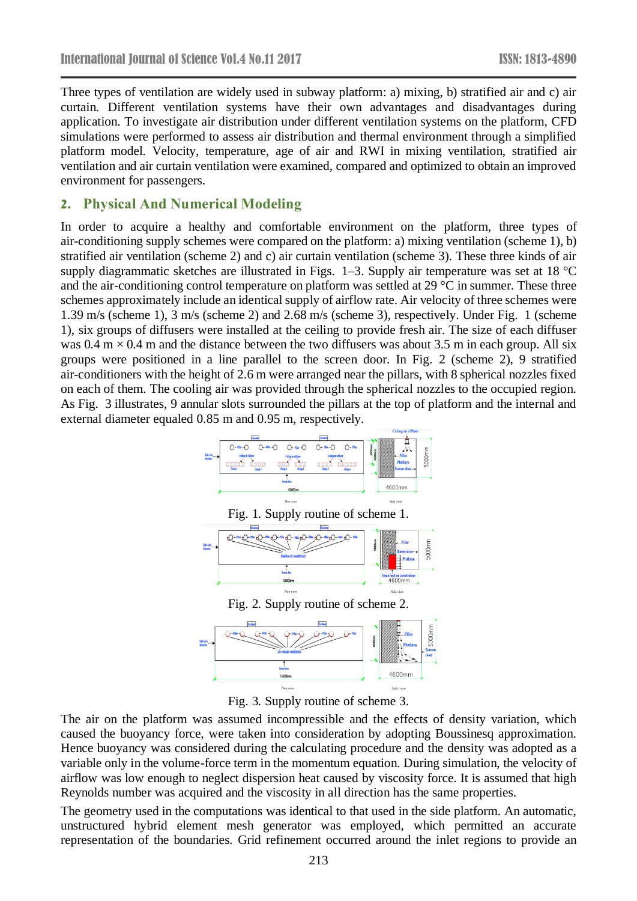Three types of ventilation are widely used in subway platform: a) mixing, b) stratified air and c) air curtain. Different ventilation systems have their own advantages and disadvantages during application. To investigate air distribution under different ventilation systems on the platform, CFD simulations were performed to assess air distribution and thermal environment through a simplified platform model. Velocity, temperature, age of air and RWI in mixing ventilation, stratified air ventilation and air curtain ventilation were examined, compared and optimized to obtain an improved environment for passengers.

# **2. Physical And Numerical Modeling**

In order to acquire a healthy and comfortable environment on the platform, three types of air-conditioning supply schemes were compared on the platform: a) mixing ventilation (scheme 1), b) stratified air ventilation (scheme 2) and c) air curtain ventilation (scheme 3). These three kinds of air supply diagrammatic sketches are illustrated in [Figs.](http://www.sciencedirect.com/science/article/pii/S036013231730389X#fig1) 1–3. Supply air temperature was set at 18 °C and the air-conditioning control temperature on platform was settled at 29 °C in summer. These three schemes approximately include an identical supply of airflow rate. Air velocity of three schemes were 1.39 m/s (scheme 1), 3 m/s (scheme 2) and 2.68 m/s (scheme 3), respectively. Under [Fig.](http://www.sciencedirect.com/science/article/pii/S036013231730389X#fig1) 1 (scheme 1), six groups of diffusers were installed at the ceiling to provide fresh air. The size of each diffuser was 0.4 m  $\times$  0.4 m and the distance between the two diffusers was about 3.5 m in each group. All six groups were positioned in a line parallel to the screen door. In [Fig.](http://www.sciencedirect.com/science/article/pii/S036013231730389X#fig2) 2 (scheme 2), 9 stratified air-conditioners with the height of 2.6 m were arranged near the pillars, with 8 spherical nozzles fixed on each of them. The cooling air was provided through the spherical nozzles to the occupied region. As [Fig.](http://www.sciencedirect.com/science/article/pii/S036013231730389X#fig3) 3 illustrates, 9 annular slots surrounded the pillars at the top of platform and the internal and external diameter equaled 0.85 m and 0.95 m, respectively.



Fig. 3. Supply routine of scheme 3.

The air on the platform was assumed incompressible and the effects of density variation, which caused the buoyancy force, were taken into consideration by adopting Boussinesq approximation. Hence buoyancy was considered during the calculating procedure and the density was adopted as a variable only in the volume-force term in the momentum equation. During simulation, the velocity of airflow was low enough to neglect dispersion heat caused by viscosity force. It is assumed that high Reynolds number was acquired and the viscosity in all direction has the same properties.

The geometry used in the computations was identical to that used in the side platform. An automatic, unstructured hybrid element mesh generator was employed, which permitted an accurate representation of the boundaries. Grid refinement occurred around the inlet regions to provide an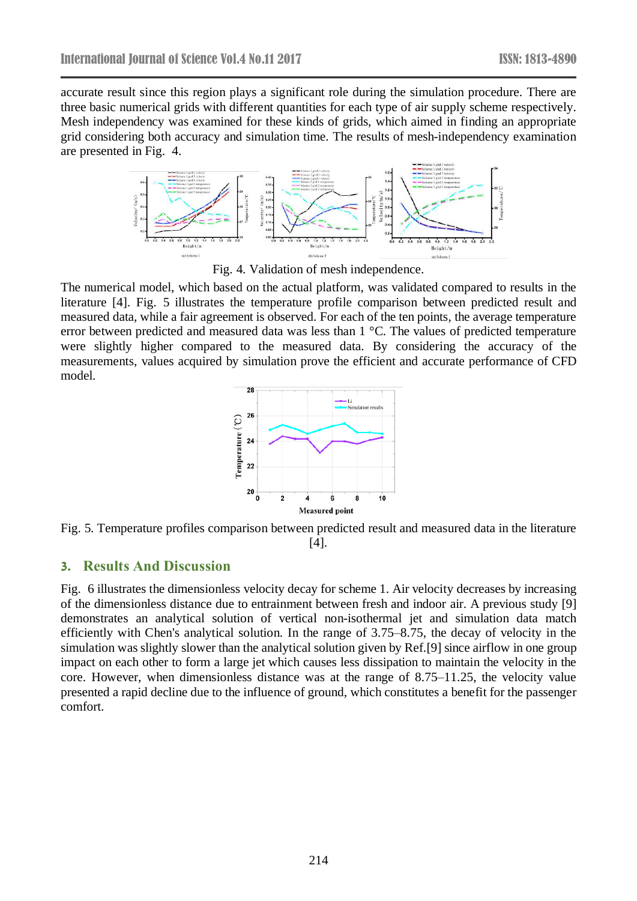accurate result since this region plays a significant role during the simulation procedure. There are three basic numerical grids with different quantities for each type of air supply scheme respectively. Mesh independency was examined for these kinds of grids, which aimed in finding an appropriate grid considering both accuracy and simulation time. The results of mesh-independency examination are presented in [Fig.](http://www.sciencedirect.com/science/article/pii/S036013231730389X#fig4) 4.



Fig. 4. Validation of mesh independence.

The numerical model, which based on the actual platform, was validated compared to results in the literature [\[4\].](http://www.sciencedirect.com/science/article/pii/S036013231730389X#bib4) [Fig.](http://www.sciencedirect.com/science/article/pii/S036013231730389X#fig5) 5 illustrates the temperature profile comparison between predicted result and measured data, while a fair agreement is observed. For each of the ten points, the average temperature error between predicted and measured data was less than 1 °C. The values of predicted temperature were slightly higher compared to the measured data. By considering the accuracy of the measurements, values acquired by simulation prove the efficient and accurate performance of CFD model.



Fig. 5. Temperature profiles comparison between predicted result and measured data in the literature [\[4\].](http://www.sciencedirect.com/science/article/pii/S036013231730389X#bib4)

### **3. Results And Discussion**

[Fig.](http://www.sciencedirect.com/science/article/pii/S036013231730389X#fig6) 6 illustrates the dimensionless velocity decay for scheme 1. Air velocity decreases by increasing of the dimensionless distance due to entrainment between fresh and indoor air. A previous study [\[9\]](http://www.sciencedirect.com/science/article/pii/S036013231730389X#bib25) demonstrates an analytical solution of vertical non-isothermal jet and simulation data match efficiently with Chen's analytical solution. In the range of 3.75–8.75, the decay of velocity in the simulation was slightly slower than the analytical solution given by Ref[.\[9\]](http://www.sciencedirect.com/science/article/pii/S036013231730389X#bib25) since airflow in one group impact on each other to form a large jet which causes less dissipation to maintain the velocity in the core. However, when dimensionless distance was at the range of 8.75–11.25, the velocity value presented a rapid decline due to the influence of ground, which constitutes a benefit for the passenger comfort.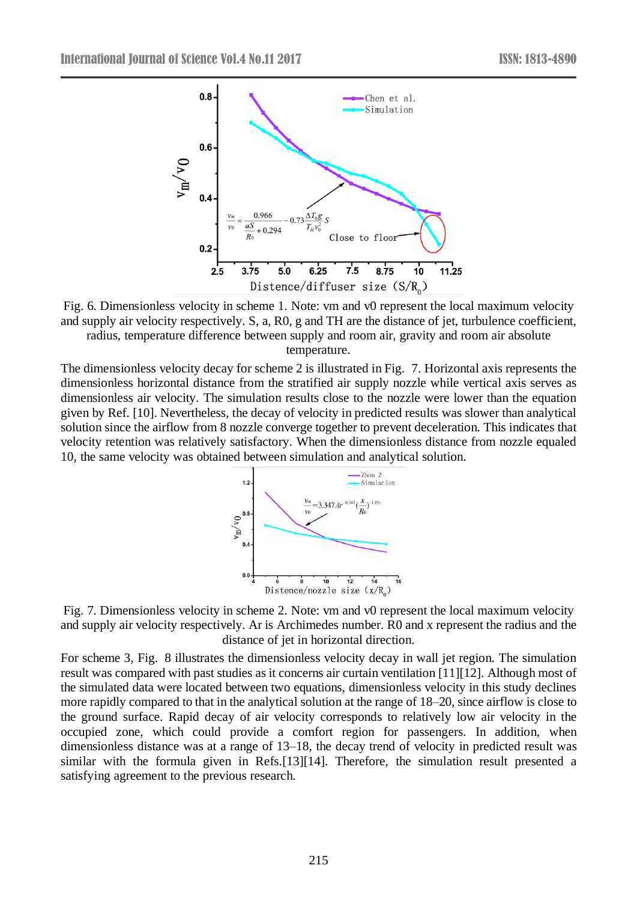

Fig. 6. Dimensionless velocity in scheme 1. Note: vm and v0 represent the local maximum velocity and supply air velocity respectively. S, a, R0, g and TH are the distance of jet, turbulence coefficient, radius, temperature difference between supply and room air, gravity and room air absolute temperature.

The dimensionless velocity decay for scheme 2 is illustrated in [Fig.](http://www.sciencedirect.com/science/article/pii/S036013231730389X#fig7) 7. Horizontal axis represents the dimensionless horizontal distance from the stratified air supply nozzle while vertical axis serves as dimensionless air velocity. The simulation results close to the nozzle were lower than the equation given by Ref. [\[10\].](http://www.sciencedirect.com/science/article/pii/S036013231730389X#bib26) Nevertheless, the decay of velocity in predicted results was slower than analytical solution since the airflow from 8 nozzle converge together to prevent deceleration. This indicates that velocity retention was relatively satisfactory. When the dimensionless distance from nozzle equaled 10, the same velocity was obtained between simulation and analytical solution.



Fig. 7. Dimensionless velocity in scheme 2. Note: vm and v0 represent the local maximum velocity and supply air velocity respectively. Ar is Archimedes number. R0 and x represent the radius and the distance of jet in horizontal direction.

For scheme 3, [Fig.](http://www.sciencedirect.com/science/article/pii/S036013231730389X#fig8) 8 illustrates the dimensionless velocity decay in wall jet region. The simulation result was compared with past studies as it concerns air curtain ventilation [\[11\]\[](http://www.sciencedirect.com/science/article/pii/S036013231730389X#bib27)12]. Although most of the simulated data were located between two equations, dimensionless velocity in this study declines more rapidly compared to that in the analytical solution at the range of 18–20, since airflow is close to the ground surface. Rapid decay of air velocity corresponds to relatively low air velocity in the occupied zone, which could provide a comfort region for passengers. In addition, when dimensionless distance was at a range of 13–18, the decay trend of velocity in predicted result was similar with the formula given in Refs[.\[13\]\[](http://www.sciencedirect.com/science/article/pii/S036013231730389X#bib31)14]. Therefore, the simulation result presented a satisfying agreement to the previous research.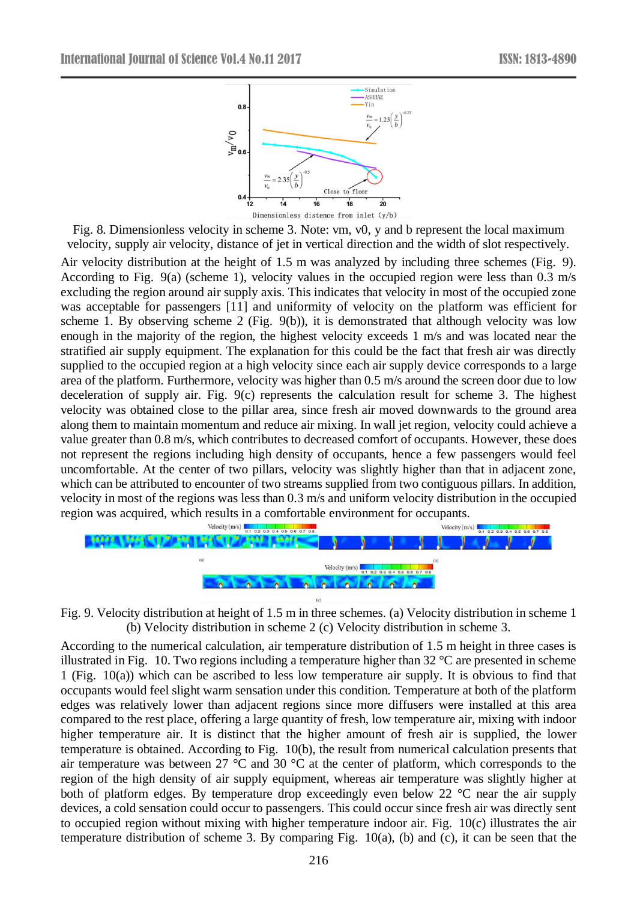

Fig. 8. Dimensionless velocity in scheme 3. Note: vm, v0, y and b represent the local maximum velocity, supply air velocity, distance of jet in vertical direction and the width of slot respectively.

Air velocity distribution at the height of 1.5 m was analyzed by including three schemes [\(Fig.](http://www.sciencedirect.com/science/article/pii/S036013231730389X#fig9) 9). According to [Fig.](http://www.sciencedirect.com/science/article/pii/S036013231730389X#fig9) 9(a) (scheme 1), velocity values in the occupied region were less than 0.3 m/s excluding the region around air supply axis. This indicates that velocity in most of the occupied zone was acceptable for passengers [\[11\]](http://www.sciencedirect.com/science/article/pii/S036013231730389X#bib27) and uniformity of velocity on the platform was efficient for scheme 1. By observing scheme 2 [\(Fig.](http://www.sciencedirect.com/science/article/pii/S036013231730389X#fig9) 9(b)), it is demonstrated that although velocity was low enough in the majority of the region, the highest velocity exceeds 1 m/s and was located near the stratified air supply equipment. The explanation for this could be the fact that fresh air was directly supplied to the occupied region at a high velocity since each air supply device corresponds to a large area of the platform. Furthermore, velocity was higher than 0.5 m/s around the screen door due to low deceleration of supply air. [Fig.](http://www.sciencedirect.com/science/article/pii/S036013231730389X#fig9) 9(c) represents the calculation result for scheme 3. The highest velocity was obtained close to the pillar area, since fresh air moved downwards to the ground area along them to maintain momentum and reduce air mixing. In wall jet region, velocity could achieve a value greater than 0.8 m/s, which contributes to decreased comfort of occupants. However, these does not represent the regions including high density of occupants, hence a few passengers would feel uncomfortable. At the center of two pillars, velocity was slightly higher than that in adjacent zone, which can be attributed to encounter of two streams supplied from two contiguous pillars. In addition, velocity in most of the regions was less than 0.3 m/s and uniform velocity distribution in the occupied



Fig. 9. Velocity distribution at height of 1.5 m in three schemes. (a) Velocity distribution in scheme 1 (b) Velocity distribution in scheme 2 (c) Velocity distribution in scheme 3.

According to the numerical calculation, air temperature distribution of 1.5 m height in three cases is illustrated in [Fig.](http://www.sciencedirect.com/science/article/pii/S036013231730389X#fig10) 10. Two regions including a temperature higher than 32 °C are presented in scheme 1 [\(Fig.](http://www.sciencedirect.com/science/article/pii/S036013231730389X#fig10) 10(a)) which can be ascribed to less low temperature air supply. It is obvious to find that occupants would feel slight warm sensation under this condition. Temperature at both of the platform edges was relatively lower than adjacent regions since more diffusers were installed at this area compared to the rest place, offering a large quantity of fresh, low temperature air, mixing with indoor higher temperature air. It is distinct that the higher amount of fresh air is supplied, the lower temperature is obtained. According to [Fig.](http://www.sciencedirect.com/science/article/pii/S036013231730389X#fig10) 10(b), the result from numerical calculation presents that air temperature was between 27 °C and 30 °C at the center of platform, which corresponds to the region of the high density of air supply equipment, whereas air temperature was slightly higher at both of platform edges. By temperature drop exceedingly even below 22 °C near the air supply devices, a cold sensation could occur to passengers. This could occur since fresh air was directly sent to occupied region without mixing with higher temperature indoor air. [Fig.](http://www.sciencedirect.com/science/article/pii/S036013231730389X#fig10) 10(c) illustrates the air temperature distribution of scheme 3. By comparing [Fig.](http://www.sciencedirect.com/science/article/pii/S036013231730389X#fig10) 10(a), (b) and (c), it can be seen that the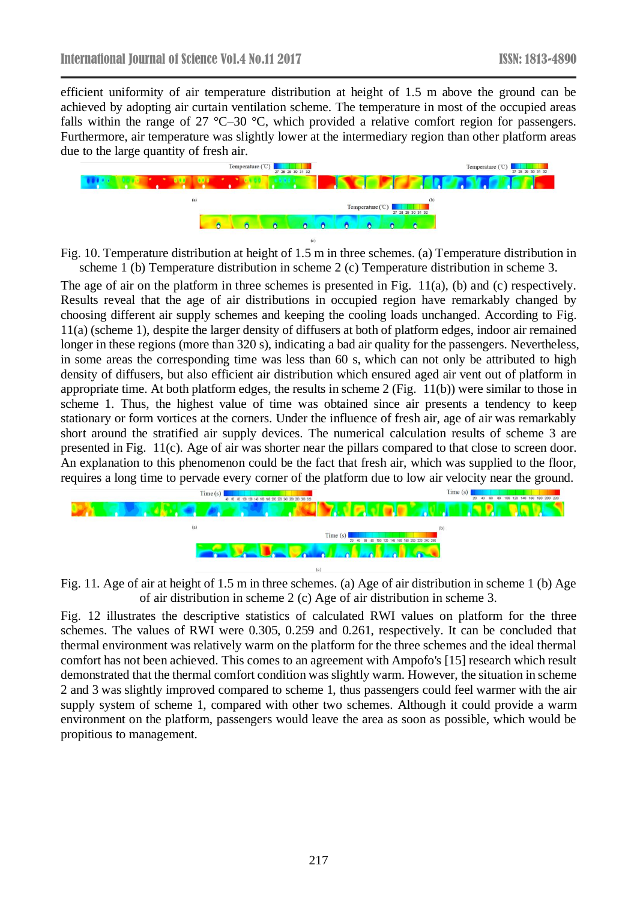efficient uniformity of air temperature distribution at height of 1.5 m above the ground can be achieved by adopting air curtain ventilation scheme. The temperature in most of the occupied areas falls within the range of 27  $\degree$ C–30  $\degree$ C, which provided a relative comfort region for passengers. Furthermore, air temperature was slightly lower at the intermediary region than other platform areas due to the large quantity of fresh air.



Fig. 10. Temperature distribution at height of 1.5 m in three schemes. (a) Temperature distribution in scheme 1 (b) Temperature distribution in scheme 2 (c) Temperature distribution in scheme 3.

The age of air on the platform in three schemes is presented in [Fig.](http://www.sciencedirect.com/science/article/pii/S036013231730389X#fig11) 11(a), (b) and (c) respectively. Results reveal that the age of air distributions in occupied region have remarkably changed by choosing different air supply schemes and keeping the cooling loads unchanged. According to [Fig.](http://www.sciencedirect.com/science/article/pii/S036013231730389X#fig11) [11\(](http://www.sciencedirect.com/science/article/pii/S036013231730389X#fig11)a) (scheme 1), despite the larger density of diffusers at both of platform edges, indoor air remained longer in these regions (more than 320 s), indicating a bad air quality for the passengers. Nevertheless, in some areas the corresponding time was less than 60 s, which can not only be attributed to high density of diffusers, but also efficient air distribution which ensured aged air vent out of platform in appropriate time. At both platform edges, the results in scheme 2 [\(Fig.](http://www.sciencedirect.com/science/article/pii/S036013231730389X#fig11) 11(b)) were similar to those in scheme 1. Thus, the highest value of time was obtained since air presents a tendency to keep stationary or form vortices at the corners. Under the influence of fresh air, age of air was remarkably short around the stratified air supply devices. The numerical calculation results of scheme 3 are presented in [Fig.](http://www.sciencedirect.com/science/article/pii/S036013231730389X#fig11) 11(c). Age of air was shorter near the pillars compared to that close to screen door. An explanation to this phenomenon could be the fact that fresh air, which was supplied to the floor, requires a long time to pervade every corner of the platform due to low air velocity near the ground.



Fig. 11. Age of air at height of 1.5 m in three schemes. (a) Age of air distribution in scheme 1 (b) Age of air distribution in scheme 2 (c) Age of air distribution in scheme 3.

[Fig.](http://www.sciencedirect.com/science/article/pii/S036013231730389X#fig12) 12 illustrates the descriptive statistics of calculated RWI values on platform for the three schemes. The values of RWI were 0.305, 0.259 and 0.261, respectively. It can be concluded that thermal environment was relatively warm on the platform for the three schemes and the ideal thermal comfort has not been achieved. This comes to an agreement with Ampofo's [\[15\]](http://www.sciencedirect.com/science/article/pii/S036013231730389X#bib29) research which result demonstrated that the thermal comfort condition was slightly warm. However, the situation in scheme 2 and 3 was slightly improved compared to scheme 1, thus passengers could feel warmer with the air supply system of scheme 1, compared with other two schemes. Although it could provide a warm environment on the platform, passengers would leave the area as soon as possible, which would be propitious to management.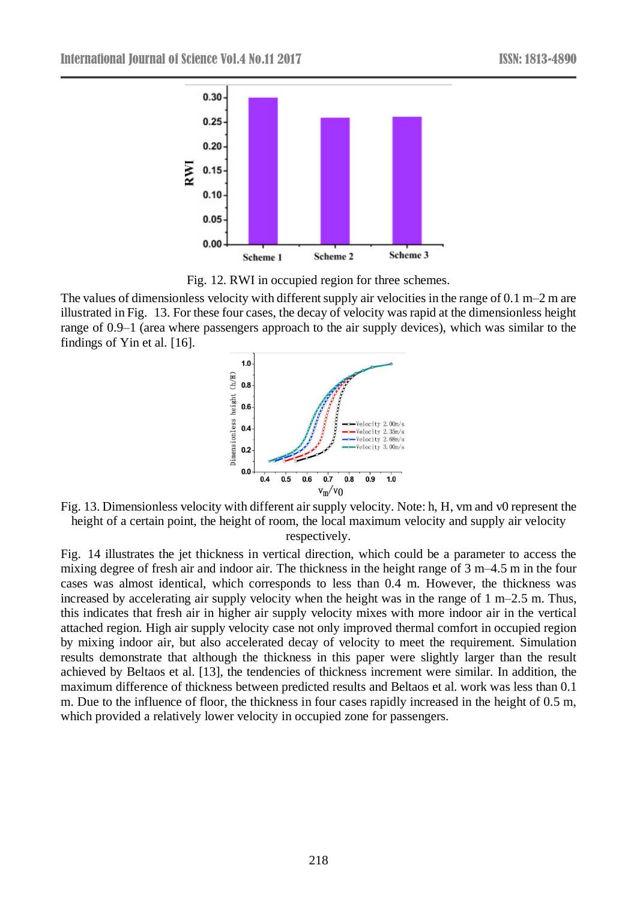

Fig. 12. RWI in occupied region for three schemes.

The values of dimensionless velocity with different supply air velocities in the range of 0.1 m–2 m are illustrated in [Fig.](http://www.sciencedirect.com/science/article/pii/S036013231730389X#fig13) 13. For these four cases, the decay of velocity was rapid at the dimensionless height range of 0.9–1 (area where passengers approach to the air supply devices), which was similar to the findings of Yin et al. [\[16\].](http://www.sciencedirect.com/science/article/pii/S036013231730389X#bib30)



Fig. 13. Dimensionless velocity with different air supply velocity. Note: h, H, vm and v0 represent the height of a certain point, the height of room, the local maximum velocity and supply air velocity respectively.

[Fig.](http://www.sciencedirect.com/science/article/pii/S036013231730389X#fig14) 14 illustrates the jet thickness in vertical direction, which could be a parameter to access the mixing degree of fresh air and indoor air. The thickness in the height range of 3 m–4.5 m in the four cases was almost identical, which corresponds to less than 0.4 m. However, the thickness was increased by accelerating air supply velocity when the height was in the range of 1 m–2.5 m. Thus, this indicates that fresh air in higher air supply velocity mixes with more indoor air in the vertical attached region. High air supply velocity case not only improved thermal comfort in occupied region by mixing indoor air, but also accelerated decay of velocity to meet the requirement. Simulation results demonstrate that although the thickness in this paper were slightly larger than the result achieved by Beltaos et al. [\[13\],](http://www.sciencedirect.com/science/article/pii/S036013231730389X#bib31) the tendencies of thickness increment were similar. In addition, the maximum difference of thickness between predicted results and Beltaos et al. work was less than 0.1 m. Due to the influence of floor, the thickness in four cases rapidly increased in the height of 0.5 m, which provided a relatively lower velocity in occupied zone for passengers.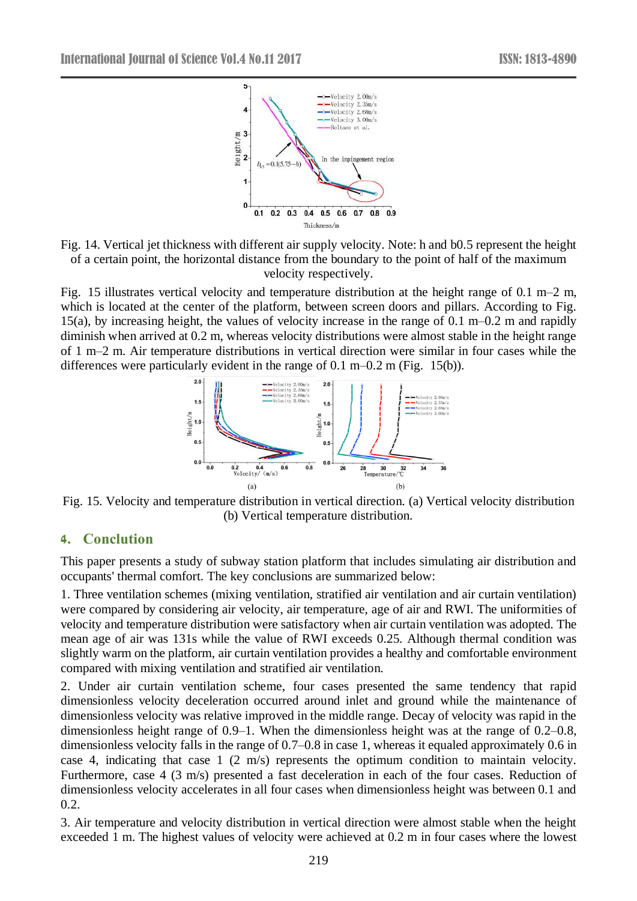

Fig. 14. Vertical jet thickness with different air supply velocity. Note: h and b0.5 represent the height of a certain point, the horizontal distance from the boundary to the point of half of the maximum velocity respectively.

[Fig.](http://www.sciencedirect.com/science/article/pii/S036013231730389X#fig15) 15 illustrates vertical velocity and temperature distribution at the height range of 0.1 m–2 m, which is located at the center of the platform, between screen doors and pillars. According to [Fig.](http://www.sciencedirect.com/science/article/pii/S036013231730389X#fig15) [15\(](http://www.sciencedirect.com/science/article/pii/S036013231730389X#fig15)a), by increasing height, the values of velocity increase in the range of 0.1 m–0.2 m and rapidly diminish when arrived at 0.2 m, whereas velocity distributions were almost stable in the height range of 1 m–2 m. Air temperature distributions in vertical direction were similar in four cases while the differences were particularly evident in the range of 0.1 m–0.2 m [\(Fig.](http://www.sciencedirect.com/science/article/pii/S036013231730389X#fig15) 15(b)).



Fig. 15. Velocity and temperature distribution in vertical direction. (a) Vertical velocity distribution (b) Vertical temperature distribution.

# **4. Conclution**

This paper presents a study of subway station platform that includes simulating air distribution and occupants' thermal comfort. The key conclusions are summarized below:

1. Three ventilation schemes (mixing ventilation, stratified air ventilation and air curtain ventilation) were compared by considering air velocity, air temperature, age of air and RWI. The uniformities of velocity and temperature distribution were satisfactory when air curtain ventilation was adopted. The mean age of air was 131s while the value of RWI exceeds 0.25. Although thermal condition was slightly warm on the platform, air curtain ventilation provides a healthy and comfortable environment compared with mixing ventilation and stratified air ventilation.

2. Under air curtain ventilation scheme, four cases presented the same tendency that rapid dimensionless velocity deceleration occurred around inlet and ground while the maintenance of dimensionless velocity was relative improved in the middle range. Decay of velocity was rapid in the dimensionless height range of 0.9–1. When the dimensionless height was at the range of 0.2–0.8, dimensionless velocity falls in the range of 0.7–0.8 in case 1, whereas it equaled approximately 0.6 in case 4, indicating that case 1 (2 m/s) represents the optimum condition to maintain velocity. Furthermore, case 4 (3 m/s) presented a fast deceleration in each of the four cases. Reduction of dimensionless velocity accelerates in all four cases when dimensionless height was between 0.1 and 0.2.

3. Air temperature and velocity distribution in vertical direction were almost stable when the height exceeded 1 m. The highest values of velocity were achieved at 0.2 m in four cases where the lowest